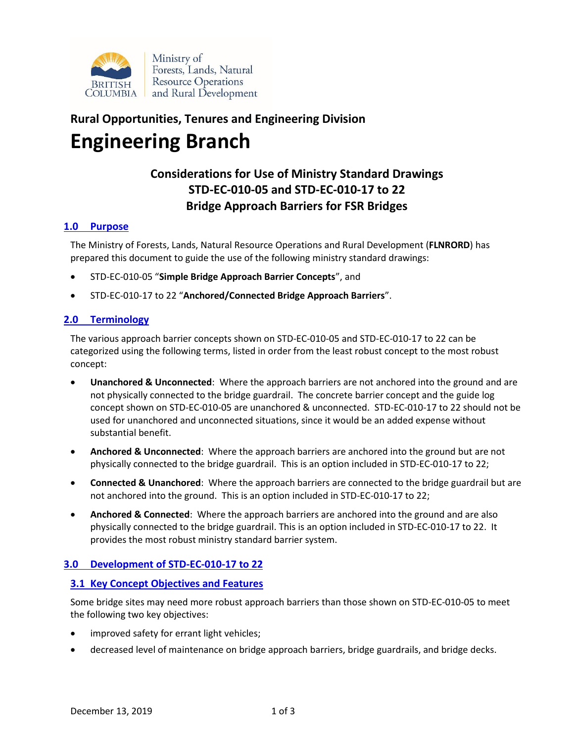

# **Rural Opportunities, Tenures and Engineering Division Engineering Branch**

# **Considerations for Use of Ministry Standard Drawings STD-EC-010-05 and STD-EC-010-17 to 22 Bridge Approach Barriers for FSR Bridges**

# **1.0 Purpose**

The Ministry of Forests, Lands, Natural Resource Operations and Rural Development (**FLNRORD**) has prepared this document to guide the use of the following ministry standard drawings:

- STD-EC-010-05 "**Simple Bridge Approach Barrier Concepts**", and
- STD-EC-010-17 to 22 "**Anchored/Connected Bridge Approach Barriers**".

# **2.0 Terminology**

The various approach barrier concepts shown on STD-EC-010-05 and STD-EC-010-17 to 22 can be categorized using the following terms, listed in order from the least robust concept to the most robust concept:

- **Unanchored & Unconnected**: Where the approach barriers are not anchored into the ground and are not physically connected to the bridge guardrail. The concrete barrier concept and the guide log concept shown on STD-EC-010-05 are unanchored & unconnected. STD-EC-010-17 to 22 should not be used for unanchored and unconnected situations, since it would be an added expense without substantial benefit.
- **Anchored & Unconnected**: Where the approach barriers are anchored into the ground but are not physically connected to the bridge guardrail. This is an option included in STD-EC-010-17 to 22;
- **Connected & Unanchored**: Where the approach barriers are connected to the bridge guardrail but are not anchored into the ground. This is an option included in STD-EC-010-17 to 22;
- **Anchored & Connected**: Where the approach barriers are anchored into the ground and are also physically connected to the bridge guardrail. This is an option included in STD-EC-010-17 to 22. It provides the most robust ministry standard barrier system.

# **3.0 Development of STD-EC-010-17 to 22**

# **3.1 Key Concept Objectives and Features**

Some bridge sites may need more robust approach barriers than those shown on STD-EC-010-05 to meet the following two key objectives:

- improved safety for errant light vehicles;
- decreased level of maintenance on bridge approach barriers, bridge guardrails, and bridge decks.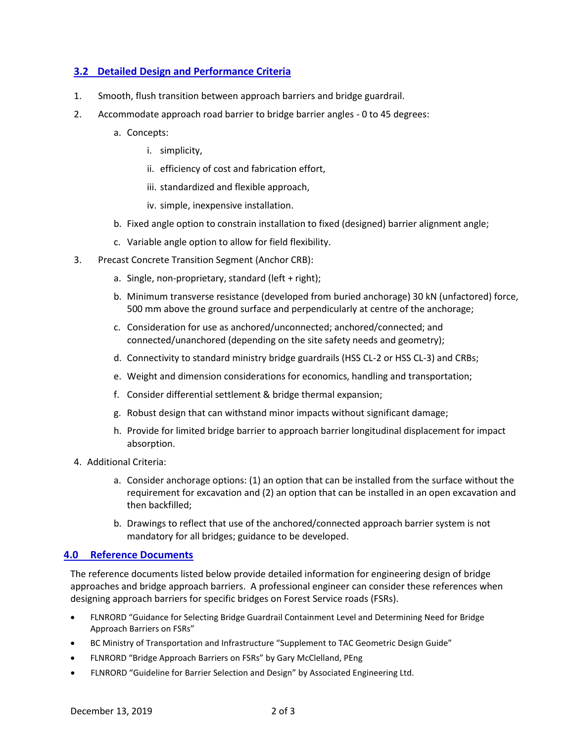# **3.2 Detailed Design and Performance Criteria**

- 1. Smooth, flush transition between approach barriers and bridge guardrail.
- 2. Accommodate approach road barrier to bridge barrier angles 0 to 45 degrees:
	- a. Concepts:
		- i. simplicity,
		- ii. efficiency of cost and fabrication effort,
		- iii. standardized and flexible approach,
		- iv. simple, inexpensive installation.
	- b. Fixed angle option to constrain installation to fixed (designed) barrier alignment angle;
	- c. Variable angle option to allow for field flexibility.
- 3. Precast Concrete Transition Segment (Anchor CRB):
	- a. Single, non-proprietary, standard (left + right);
	- b. Minimum transverse resistance (developed from buried anchorage) 30 kN (unfactored) force, 500 mm above the ground surface and perpendicularly at centre of the anchorage;
	- c. Consideration for use as anchored/unconnected; anchored/connected; and connected/unanchored (depending on the site safety needs and geometry);
	- d. Connectivity to standard ministry bridge guardrails (HSS CL-2 or HSS CL-3) and CRBs;
	- e. Weight and dimension considerations for economics, handling and transportation;
	- f. Consider differential settlement & bridge thermal expansion;
	- g. Robust design that can withstand minor impacts without significant damage;
	- h. Provide for limited bridge barrier to approach barrier longitudinal displacement for impact absorption.
- 4. Additional Criteria:
	- a. Consider anchorage options: (1) an option that can be installed from the surface without the requirement for excavation and (2) an option that can be installed in an open excavation and then backfilled;
	- b. Drawings to reflect that use of the anchored/connected approach barrier system is not mandatory for all bridges; guidance to be developed.

# **4.0 Reference Documents**

The reference documents listed below provide detailed information for engineering design of bridge approaches and bridge approach barriers. A professional engineer can consider these references when designing approach barriers for specific bridges on Forest Service roads (FSRs).

- FLNRORD "Guidance for Selecting Bridge Guardrail Containment Level and Determining Need for Bridge Approach Barriers on FSRs"
- [BC Ministry of Transportation and Infrastructure "Supplement to TAC Geometric Design Guide"](http://www2.gov.bc.ca/assets/gov/driving-and-transportation/transportation-infrastructure/engineering-standards-and-guidelines/highway-design-and-survey/tac/tac-2007-supplement/2007bc_supplement_to_tac.pdf)
- [FLNRORD "Bridge Approach Barriers on FSRs" by Gary McClelland, PEng](https://www2.gov.bc.ca/assets/gov/farming-natural-resources-and-industry/natural-resource-use/resource-roads/fsrbridgeapproachbarrierphilosophyfinal2016.pdf)
- [FLNRORD "Guideline for Barrier Selection and Design" by Associated Engineering Ltd.](https://www2.gov.bc.ca/assets/gov/farming-natural-resources-and-industry/natural-resource-use/resource-roads/gdlnes-for-barrier-selection--design-aug-2011.pdf)